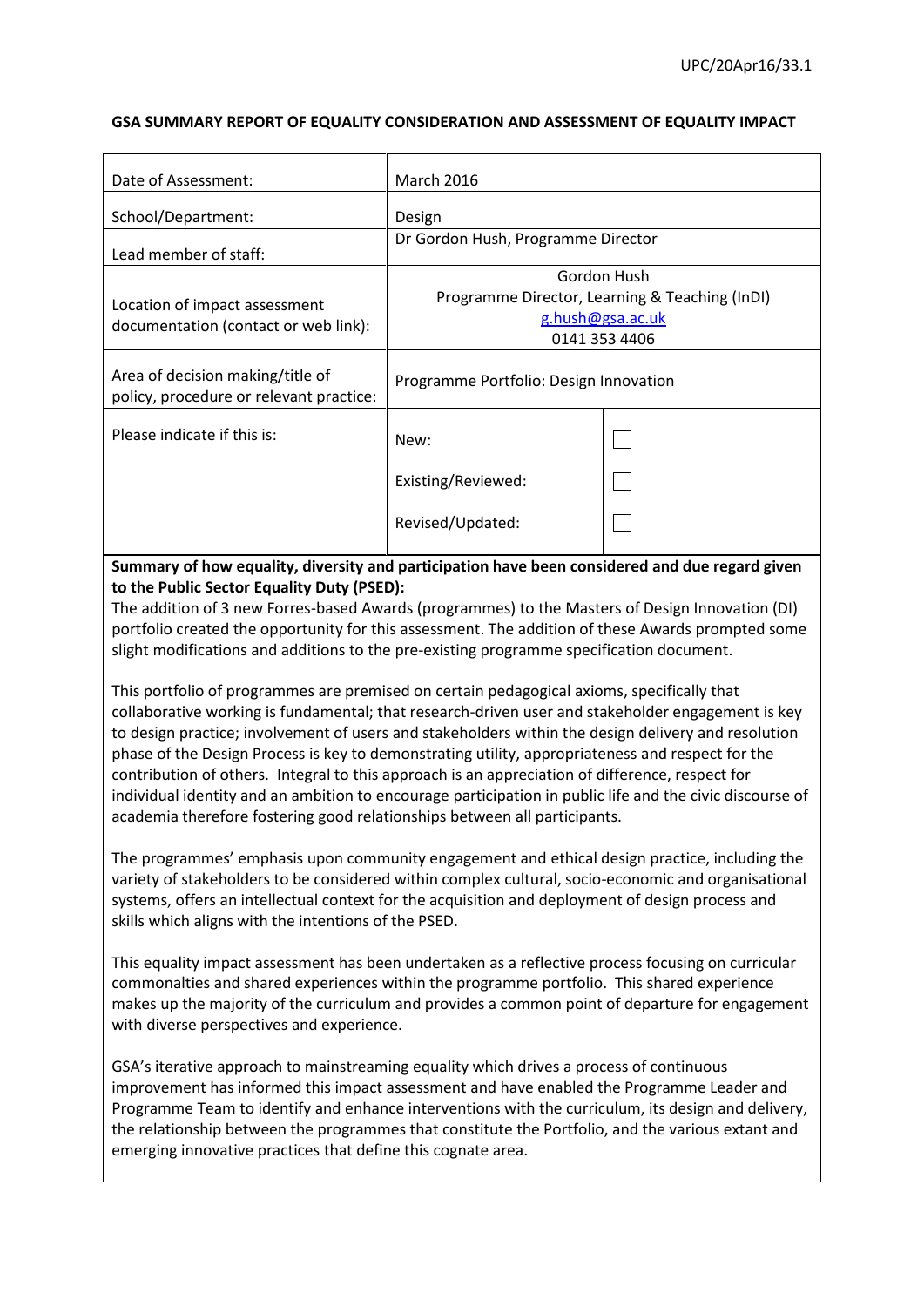# **GSA SUMMARY REPORT OF EQUALITY CONSIDERATION AND ASSESSMENT OF EQUALITY IMPACT**

| Date of Assessment:                                                         | <b>March 2016</b>                      |                                                                                                    |  |  |  |
|-----------------------------------------------------------------------------|----------------------------------------|----------------------------------------------------------------------------------------------------|--|--|--|
| School/Department:                                                          | Design                                 |                                                                                                    |  |  |  |
| Lead member of staff:                                                       | Dr Gordon Hush, Programme Director     |                                                                                                    |  |  |  |
| Location of impact assessment<br>documentation (contact or web link):       |                                        | Gordon Hush<br>Programme Director, Learning & Teaching (InDI)<br>g.hush@gsa.ac.uk<br>0141 353 4406 |  |  |  |
| Area of decision making/title of<br>policy, procedure or relevant practice: | Programme Portfolio: Design Innovation |                                                                                                    |  |  |  |
| Please indicate if this is:                                                 | New:                                   |                                                                                                    |  |  |  |
|                                                                             | Existing/Reviewed:                     |                                                                                                    |  |  |  |
|                                                                             | Revised/Updated:                       |                                                                                                    |  |  |  |

**Summary of how equality, diversity and participation have been considered and due regard given to the Public Sector Equality Duty (PSED):**

The addition of 3 new Forres-based Awards (programmes) to the Masters of Design Innovation (DI) portfolio created the opportunity for this assessment. The addition of these Awards prompted some slight modifications and additions to the pre-existing programme specification document.

This portfolio of programmes are premised on certain pedagogical axioms, specifically that collaborative working is fundamental; that research-driven user and stakeholder engagement is key to design practice; involvement of users and stakeholders within the design delivery and resolution phase of the Design Process is key to demonstrating utility, appropriateness and respect for the contribution of others. Integral to this approach is an appreciation of difference, respect for individual identity and an ambition to encourage participation in public life and the civic discourse of academia therefore fostering good relationships between all participants.

The programmes' emphasis upon community engagement and ethical design practice, including the variety of stakeholders to be considered within complex cultural, socio-economic and organisational systems, offers an intellectual context for the acquisition and deployment of design process and skills which aligns with the intentions of the PSED.

This equality impact assessment has been undertaken as a reflective process focusing on curricular commonalties and shared experiences within the programme portfolio. This shared experience makes up the majority of the curriculum and provides a common point of departure for engagement with diverse perspectives and experience.

GSA's iterative approach to mainstreaming equality which drives a process of continuous improvement has informed this impact assessment and have enabled the Programme Leader and Programme Team to identify and enhance interventions with the curriculum, its design and delivery, the relationship between the programmes that constitute the Portfolio, and the various extant and emerging innovative practices that define this cognate area.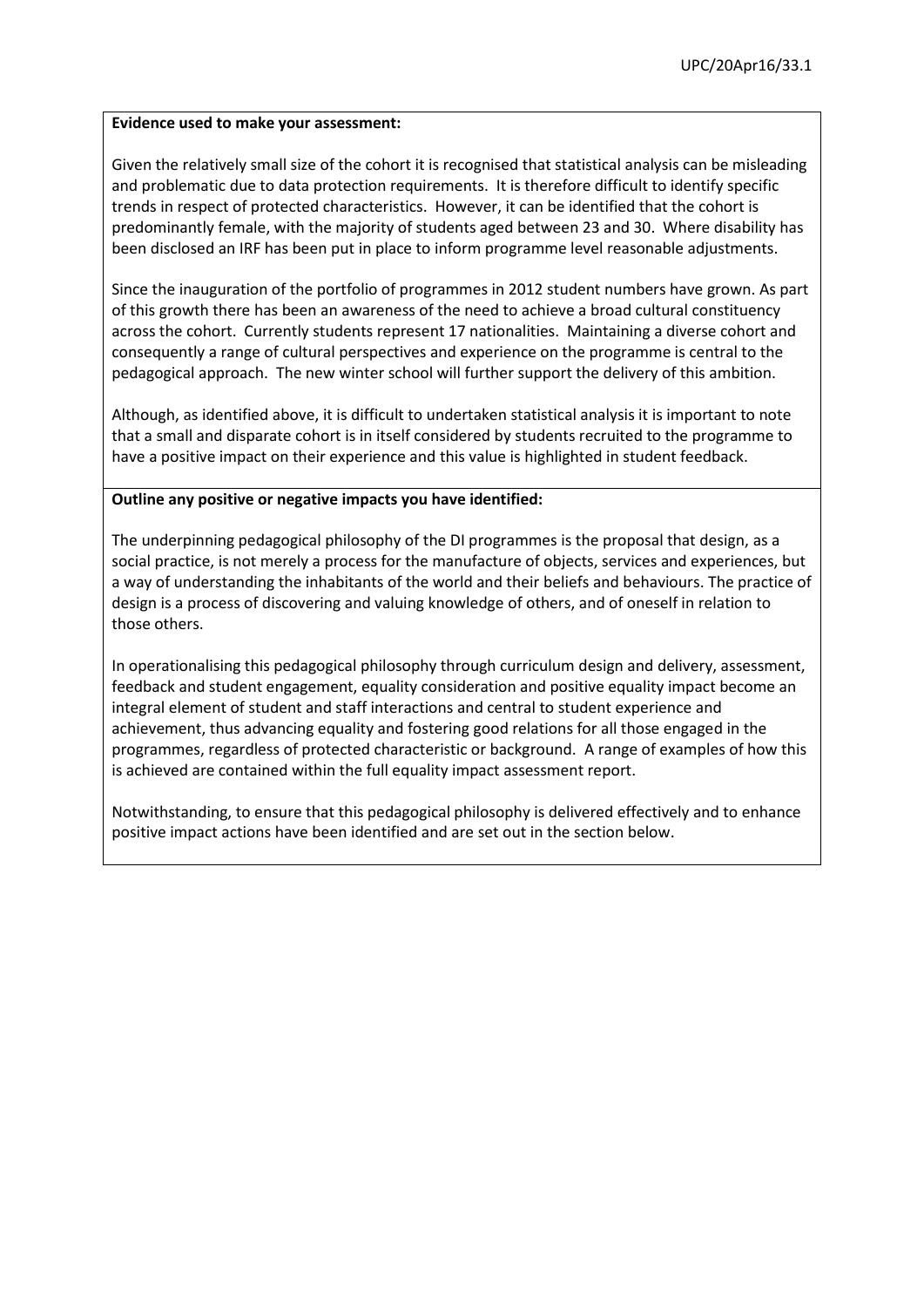### **Evidence used to make your assessment:**

Given the relatively small size of the cohort it is recognised that statistical analysis can be misleading and problematic due to data protection requirements. It is therefore difficult to identify specific trends in respect of protected characteristics. However, it can be identified that the cohort is predominantly female, with the majority of students aged between 23 and 30. Where disability has been disclosed an IRF has been put in place to inform programme level reasonable adjustments.

Since the inauguration of the portfolio of programmes in 2012 student numbers have grown. As part of this growth there has been an awareness of the need to achieve a broad cultural constituency across the cohort. Currently students represent 17 nationalities. Maintaining a diverse cohort and consequently a range of cultural perspectives and experience on the programme is central to the pedagogical approach. The new winter school will further support the delivery of this ambition.

Although, as identified above, it is difficult to undertaken statistical analysis it is important to note that a small and disparate cohort is in itself considered by students recruited to the programme to have a positive impact on their experience and this value is highlighted in student feedback.

# **Outline any positive or negative impacts you have identified:**

The underpinning pedagogical philosophy of the DI programmes is the proposal that design, as a social practice, is not merely a process for the manufacture of objects, services and experiences, but a way of understanding the inhabitants of the world and their beliefs and behaviours. The practice of design is a process of discovering and valuing knowledge of others, and of oneself in relation to those others.

In operationalising this pedagogical philosophy through curriculum design and delivery, assessment, feedback and student engagement, equality consideration and positive equality impact become an integral element of student and staff interactions and central to student experience and achievement, thus advancing equality and fostering good relations for all those engaged in the programmes, regardless of protected characteristic or background. A range of examples of how this is achieved are contained within the full equality impact assessment report.

Notwithstanding, to ensure that this pedagogical philosophy is delivered effectively and to enhance positive impact actions have been identified and are set out in the section below.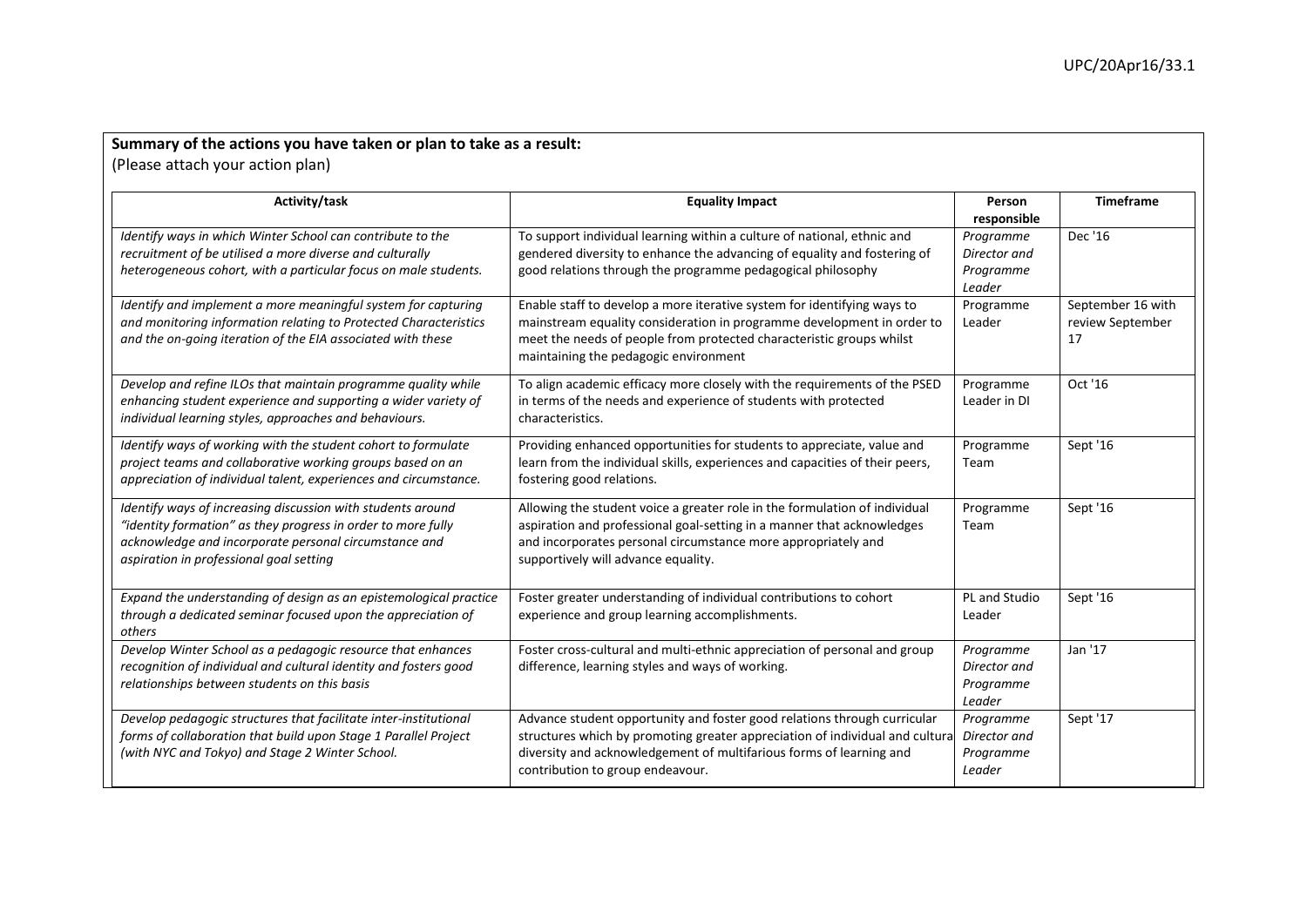|        |  |  |  |  | Summary of the actions you have taken or plan to take as a result: |  |
|--------|--|--|--|--|--------------------------------------------------------------------|--|
| $\sim$ |  |  |  |  |                                                                    |  |

(Please attach your action plan)

| Activity/task                                                                                                                                                                                                                   | <b>Equality Impact</b>                                                                                                                                                                                                                                              | Person<br>responsible                            | <b>Timeframe</b>                            |
|---------------------------------------------------------------------------------------------------------------------------------------------------------------------------------------------------------------------------------|---------------------------------------------------------------------------------------------------------------------------------------------------------------------------------------------------------------------------------------------------------------------|--------------------------------------------------|---------------------------------------------|
| Identify ways in which Winter School can contribute to the<br>recruitment of be utilised a more diverse and culturally<br>heterogeneous cohort, with a particular focus on male students.                                       | To support individual learning within a culture of national, ethnic and<br>gendered diversity to enhance the advancing of equality and fostering of<br>good relations through the programme pedagogical philosophy                                                  | Programme<br>Director and<br>Programme<br>Leader | Dec '16                                     |
| Identify and implement a more meaningful system for capturing<br>and monitoring information relating to Protected Characteristics<br>and the on-going iteration of the EIA associated with these                                | Enable staff to develop a more iterative system for identifying ways to<br>mainstream equality consideration in programme development in order to<br>meet the needs of people from protected characteristic groups whilst<br>maintaining the pedagogic environment  | Programme<br>Leader                              | September 16 with<br>review September<br>17 |
| Develop and refine ILOs that maintain programme quality while<br>enhancing student experience and supporting a wider variety of<br>individual learning styles, approaches and behaviours.                                       | To align academic efficacy more closely with the requirements of the PSED<br>in terms of the needs and experience of students with protected<br>characteristics.                                                                                                    | Programme<br>Leader in DI                        | Oct '16                                     |
| Identify ways of working with the student cohort to formulate<br>project teams and collaborative working groups based on an<br>appreciation of individual talent, experiences and circumstance.                                 | Providing enhanced opportunities for students to appreciate, value and<br>learn from the individual skills, experiences and capacities of their peers,<br>fostering good relations.                                                                                 | Programme<br>Team                                | Sept '16                                    |
| Identify ways of increasing discussion with students around<br>"identity formation" as they progress in order to more fully<br>acknowledge and incorporate personal circumstance and<br>aspiration in professional goal setting | Allowing the student voice a greater role in the formulation of individual<br>aspiration and professional goal-setting in a manner that acknowledges<br>and incorporates personal circumstance more appropriately and<br>supportively will advance equality.        | Programme<br>Team                                | Sept '16                                    |
| Expand the understanding of design as an epistemological practice<br>through a dedicated seminar focused upon the appreciation of<br>others                                                                                     | Foster greater understanding of individual contributions to cohort<br>experience and group learning accomplishments.                                                                                                                                                | PL and Studio<br>Leader                          | Sept '16                                    |
| Develop Winter School as a pedagogic resource that enhances<br>recognition of individual and cultural identity and fosters good<br>relationships between students on this basis                                                 | Foster cross-cultural and multi-ethnic appreciation of personal and group<br>difference, learning styles and ways of working.                                                                                                                                       | Programme<br>Director and<br>Programme<br>Leader | Jan '17                                     |
| Develop pedagogic structures that facilitate inter-institutional<br>forms of collaboration that build upon Stage 1 Parallel Project<br>(with NYC and Tokyo) and Stage 2 Winter School.                                          | Advance student opportunity and foster good relations through curricular<br>structures which by promoting greater appreciation of individual and cultura<br>diversity and acknowledgement of multifarious forms of learning and<br>contribution to group endeavour. | Programme<br>Director and<br>Programme<br>Leader | Sept '17                                    |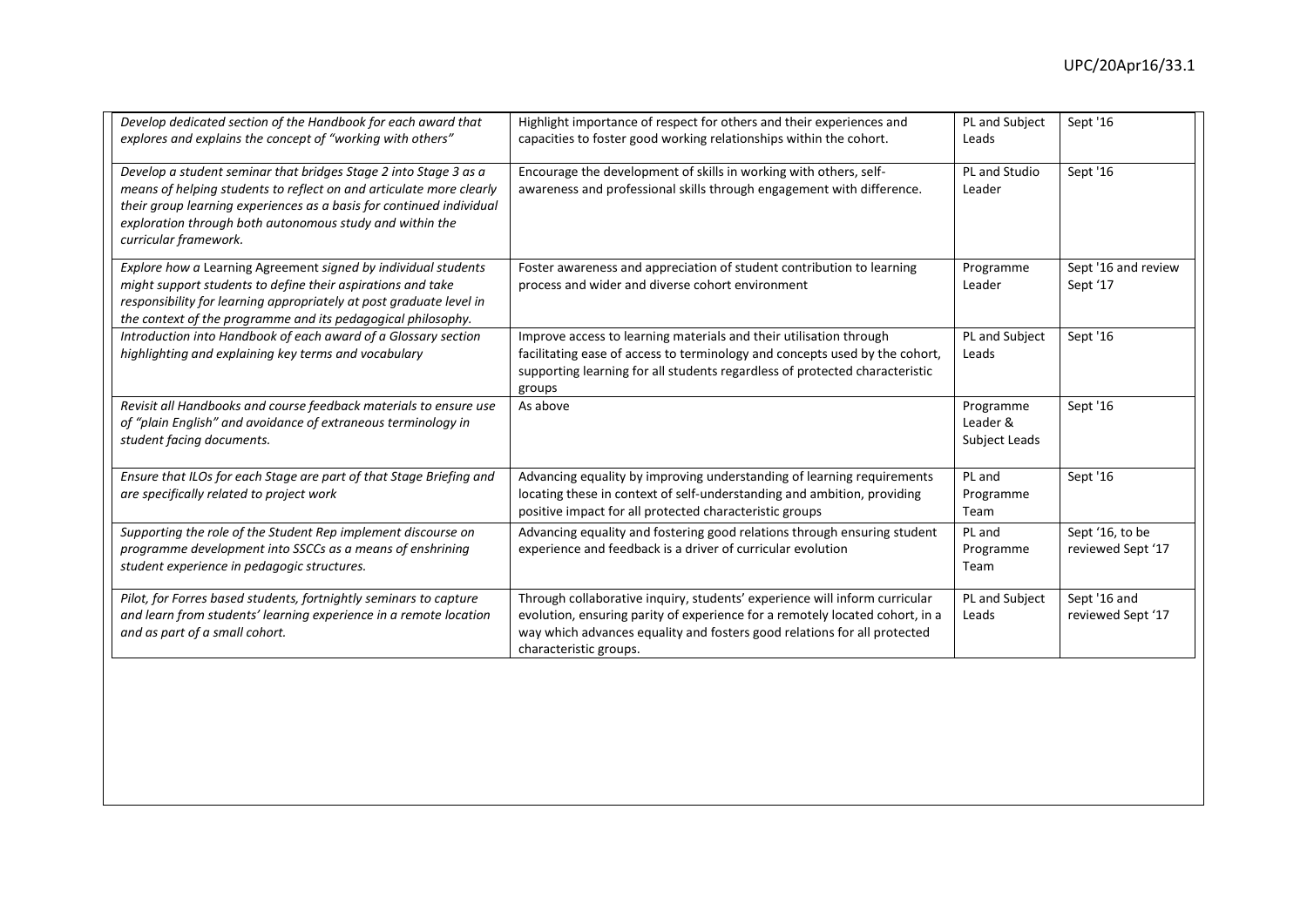| Develop dedicated section of the Handbook for each award that<br>explores and explains the concept of "working with others"                                                                                                                                                                          | Highlight importance of respect for others and their experiences and<br>capacities to foster good working relationships within the cohort.                                                                                                                       | PL and Subject<br>Leads                | Sept '16                             |
|------------------------------------------------------------------------------------------------------------------------------------------------------------------------------------------------------------------------------------------------------------------------------------------------------|------------------------------------------------------------------------------------------------------------------------------------------------------------------------------------------------------------------------------------------------------------------|----------------------------------------|--------------------------------------|
| Develop a student seminar that bridges Stage 2 into Stage 3 as a<br>means of helping students to reflect on and articulate more clearly<br>their group learning experiences as a basis for continued individual<br>exploration through both autonomous study and within the<br>curricular framework. | Encourage the development of skills in working with others, self-<br>awareness and professional skills through engagement with difference.                                                                                                                       | PL and Studio<br>Leader                | Sept '16                             |
| Explore how a Learning Agreement signed by individual students<br>might support students to define their aspirations and take<br>responsibility for learning appropriately at post graduate level in<br>the context of the programme and its pedagogical philosophy.                                 | Foster awareness and appreciation of student contribution to learning<br>process and wider and diverse cohort environment                                                                                                                                        | Programme<br>Leader                    | Sept '16 and review<br>Sept '17      |
| Introduction into Handbook of each award of a Glossary section<br>highlighting and explaining key terms and vocabulary                                                                                                                                                                               | Improve access to learning materials and their utilisation through<br>facilitating ease of access to terminology and concepts used by the cohort,<br>supporting learning for all students regardless of protected characteristic<br>groups                       | PL and Subject<br>Leads                | Sept '16                             |
| Revisit all Handbooks and course feedback materials to ensure use<br>of "plain English" and avoidance of extraneous terminology in<br>student facing documents.                                                                                                                                      | As above                                                                                                                                                                                                                                                         | Programme<br>Leader &<br>Subject Leads | Sept '16                             |
| Ensure that ILOs for each Stage are part of that Stage Briefing and<br>are specifically related to project work                                                                                                                                                                                      | Advancing equality by improving understanding of learning requirements<br>locating these in context of self-understanding and ambition, providing<br>positive impact for all protected characteristic groups                                                     | PL and<br>Programme<br>Team            | Sept '16                             |
| Supporting the role of the Student Rep implement discourse on<br>programme development into SSCCs as a means of enshrining<br>student experience in pedagogic structures.                                                                                                                            | Advancing equality and fostering good relations through ensuring student<br>experience and feedback is a driver of curricular evolution                                                                                                                          | PL and<br>Programme<br>Team            | Sept '16, to be<br>reviewed Sept '17 |
| Pilot, for Forres based students, fortnightly seminars to capture<br>and learn from students' learning experience in a remote location<br>and as part of a small cohort.                                                                                                                             | Through collaborative inquiry, students' experience will inform curricular<br>evolution, ensuring parity of experience for a remotely located cohort, in a<br>way which advances equality and fosters good relations for all protected<br>characteristic groups. | PL and Subject<br>Leads                | Sept '16 and<br>reviewed Sept '17    |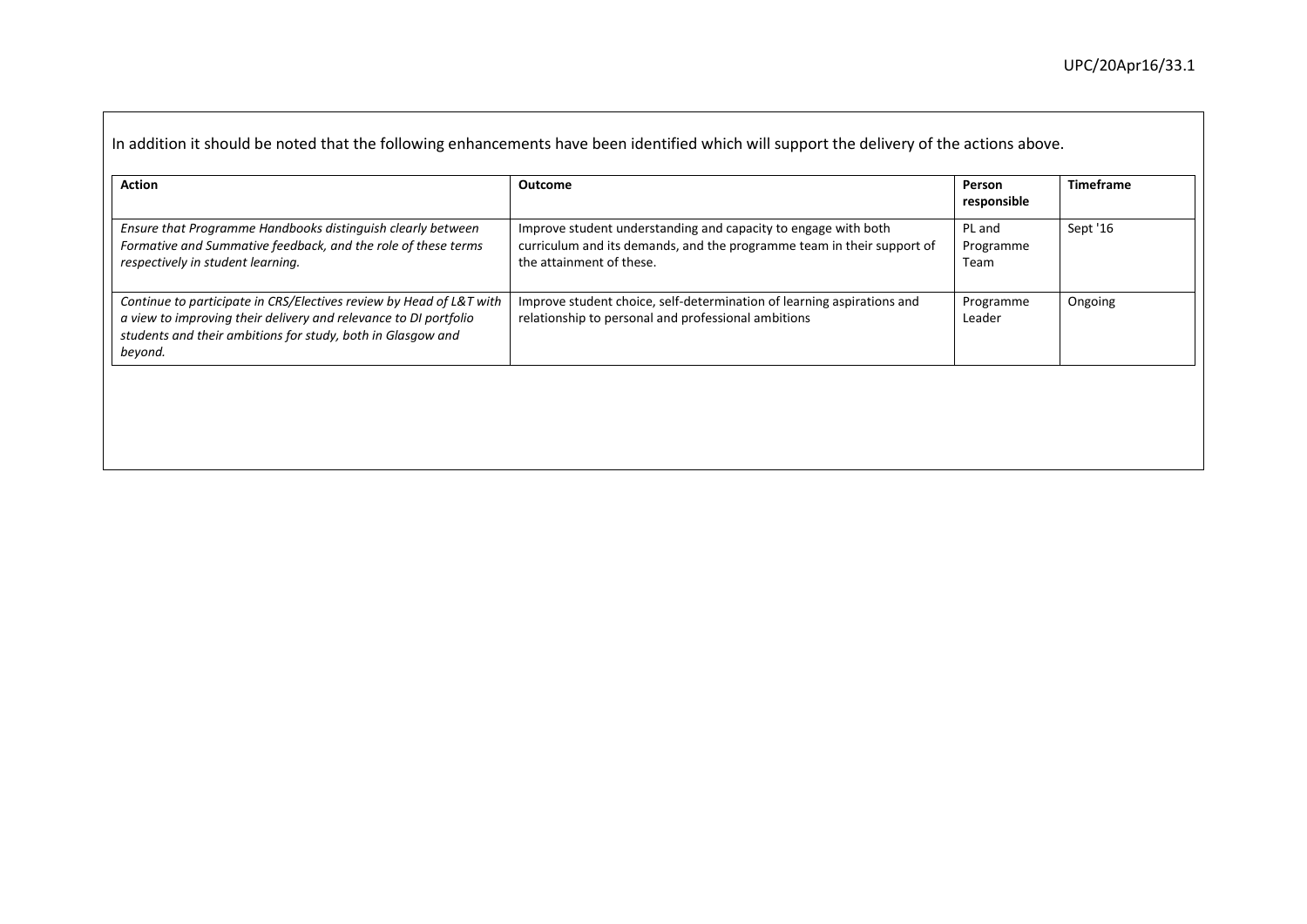| <b>Action</b>                                                                                                                                                                                                     | <b>Outcome</b>                                                                                                                                                       | Person<br>responsible       | <b>Timeframe</b> |
|-------------------------------------------------------------------------------------------------------------------------------------------------------------------------------------------------------------------|----------------------------------------------------------------------------------------------------------------------------------------------------------------------|-----------------------------|------------------|
| Ensure that Programme Handbooks distinguish clearly between<br>Formative and Summative feedback, and the role of these terms<br>respectively in student learning.                                                 | Improve student understanding and capacity to engage with both<br>curriculum and its demands, and the programme team in their support of<br>the attainment of these. | PL and<br>Programme<br>Team | Sept '16         |
| Continue to participate in CRS/Electives review by Head of L&T with<br>a view to improving their delivery and relevance to DI portfolio<br>students and their ambitions for study, both in Glasgow and<br>beyond. | Improve student choice, self-determination of learning aspirations and<br>relationship to personal and professional ambitions                                        | Programme<br>Leader         | Ongoing          |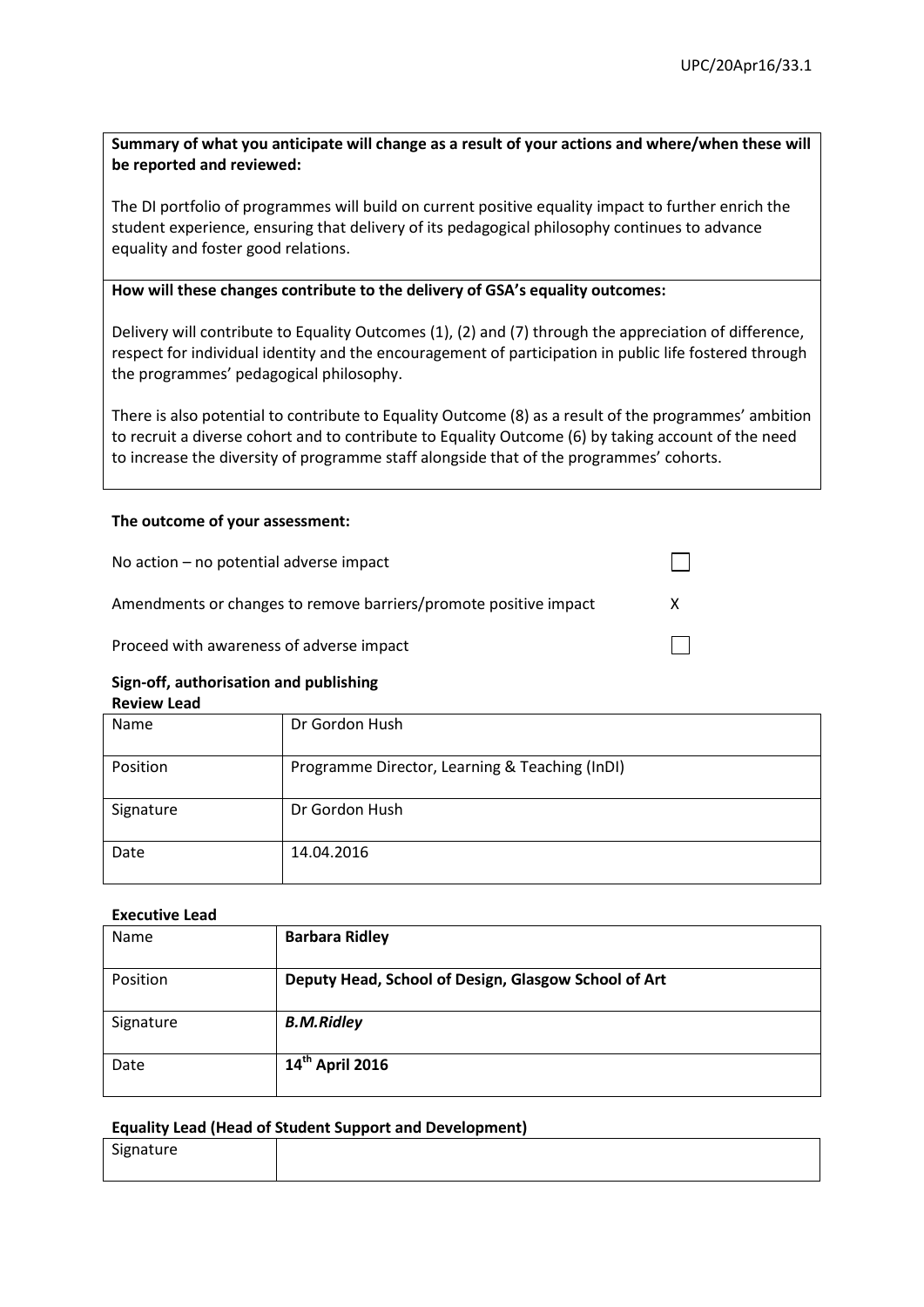# **Summary of what you anticipate will change as a result of your actions and where/when these will be reported and reviewed:**

The DI portfolio of programmes will build on current positive equality impact to further enrich the student experience, ensuring that delivery of its pedagogical philosophy continues to advance equality and foster good relations.

### **How will these changes contribute to the delivery of GSA's equality outcomes:**

Delivery will contribute to Equality Outcomes (1), (2) and (7) through the appreciation of difference, respect for individual identity and the encouragement of participation in public life fostered through the programmes' pedagogical philosophy.

There is also potential to contribute to Equality Outcome (8) as a result of the programmes' ambition to recruit a diverse cohort and to contribute to Equality Outcome (6) by taking account of the need to increase the diversity of programme staff alongside that of the programmes' cohorts.

# **The outcome of your assessment:**

| No action $-$ no potential adverse impact                        |  |
|------------------------------------------------------------------|--|
| Amendments or changes to remove barriers/promote positive impact |  |
| Proceed with awareness of adverse impact                         |  |

#### **Sign-off, authorisation and publishing Review Lead**

| Name      | Dr Gordon Hush                                 |
|-----------|------------------------------------------------|
| Position  | Programme Director, Learning & Teaching (InDI) |
| Signature | Dr Gordon Hush                                 |
| Date      | 14.04.2016                                     |

# **Executive Lead**

| Name      | <b>Barbara Ridley</b>                                |
|-----------|------------------------------------------------------|
| Position  | Deputy Head, School of Design, Glasgow School of Art |
| Signature | <b>B.M.Ridley</b>                                    |
| Date      | 14th April 2016                                      |

# **Equality Lead (Head of Student Support and Development)**

| $\sim$<br>ייי<br>5.5 | .<br>ππre |  |  |  |  |  |  |  |
|----------------------|-----------|--|--|--|--|--|--|--|
|                      |           |  |  |  |  |  |  |  |